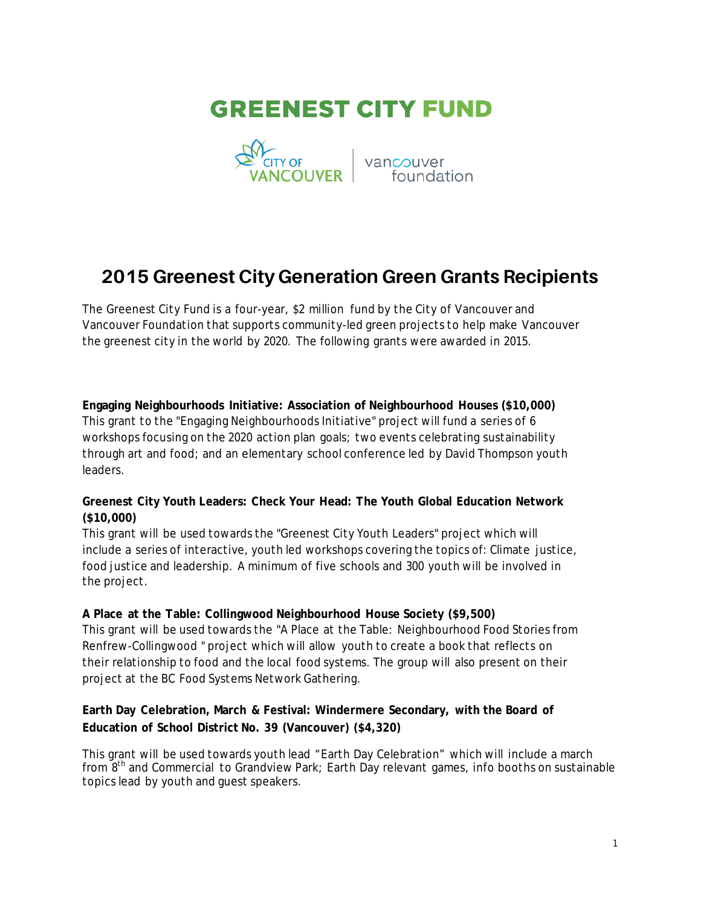



# **2015 Greenest City Generation Green Grants Recipients**

The Greenest City Fund is a four-year, \$2 million fund by the City of Vancouver and Vancouver Foundation that supports community-led green projects to help make Vancouver the greenest city in the world by 2020. The following grants were awarded in 2015.

**Engaging Neighbourhoods Initiative: Association of Neighbourhood Houses (\$10,000)** This grant to the "Engaging Neighbourhoods Initiative" project will fund a series of 6 workshops focusing on the 2020 action plan goals; two events celebrating sustainability through art and food; and an elementary school conference led by David Thompson youth leaders.

# **Greenest City Youth Leaders: Check Your Head: The Youth Global Education Network (\$10,000)**

This grant will be used towards the "Greenest City Youth Leaders" project which will include a series of interactive, youth led workshops covering the topics of: Climate justice, food justice and leadership. A minimum of five schools and 300 youth will be involved in the project.

**A Place at the Table: Collingwood Neighbourhood House Society (\$9,500)** This grant will be used towards the "A Place at the Table: Neighbourhood Food Stories from Renfrew-Collingwood " project which will allow youth to create a book that reflects on their relationship to food and the local food systems. The group will also present on their project at the BC Food Systems Network Gathering.

# **Earth Day Celebration, March & Festival: Windermere Secondary, with the Board of Education of School District No. 39 (Vancouver) (\$4,320)**

This grant will be used towards youth lead "Earth Day Celebration" which will include a march from 8<sup>th</sup> and Commercial to Grandview Park; Earth Day relevant games, info booths on sustainable topics lead by youth and guest speakers.